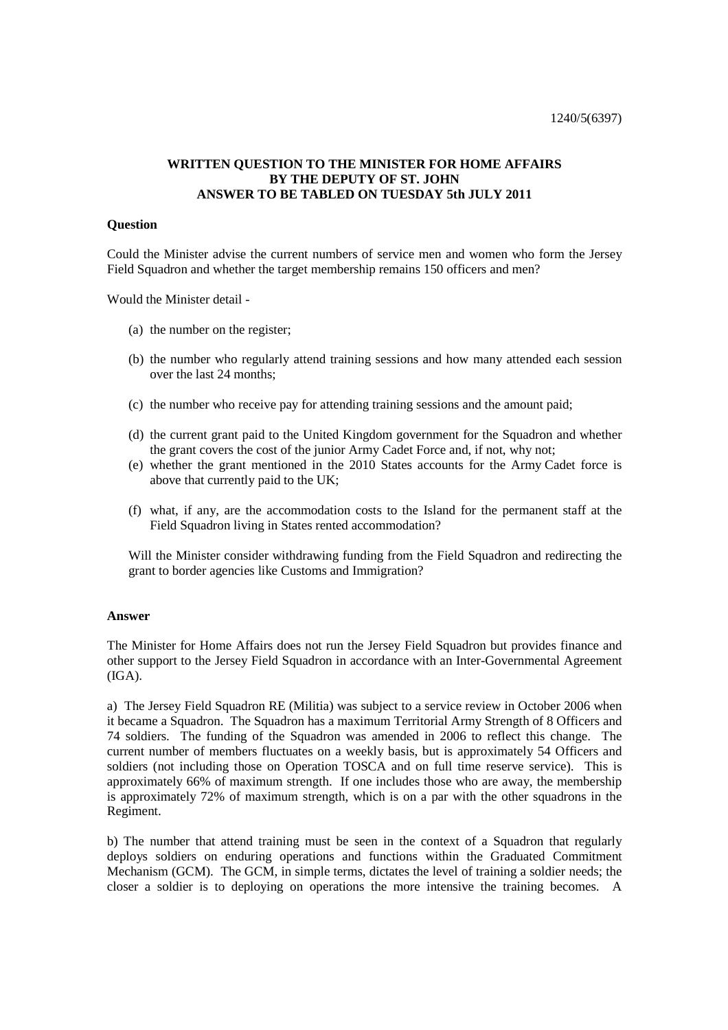1240/5(6397)

## **WRITTEN QUESTION TO THE MINISTER FOR HOME AFFAIRS BY THE DEPUTY OF ST. JOHN ANSWER TO BE TABLED ON TUESDAY 5th JULY 2011**

## **Question**

Could the Minister advise the current numbers of service men and women who form the Jersey Field Squadron and whether the target membership remains 150 officers and men?

Would the Minister detail -

- (a) the number on the register;
- (b) the number who regularly attend training sessions and how many attended each session over the last 24 months;
- (c) the number who receive pay for attending training sessions and the amount paid;
- (d) the current grant paid to the United Kingdom government for the Squadron and whether the grant covers the cost of the junior Army Cadet Force and, if not, why not;
- (e) whether the grant mentioned in the 2010 States accounts for the Army Cadet force is above that currently paid to the UK;
- (f) what, if any, are the accommodation costs to the Island for the permanent staff at the Field Squadron living in States rented accommodation?

Will the Minister consider withdrawing funding from the Field Squadron and redirecting the grant to border agencies like Customs and Immigration?

## **Answer**

The Minister for Home Affairs does not run the Jersey Field Squadron but provides finance and other support to the Jersey Field Squadron in accordance with an Inter-Governmental Agreement  $(IGA).$ 

a) The Jersey Field Squadron RE (Militia) was subject to a service review in October 2006 when it became a Squadron. The Squadron has a maximum Territorial Army Strength of 8 Officers and 74 soldiers. The funding of the Squadron was amended in 2006 to reflect this change. The current number of members fluctuates on a weekly basis, but is approximately 54 Officers and soldiers (not including those on Operation TOSCA and on full time reserve service). This is approximately 66% of maximum strength. If one includes those who are away, the membership is approximately 72% of maximum strength, which is on a par with the other squadrons in the Regiment.

b) The number that attend training must be seen in the context of a Squadron that regularly deploys soldiers on enduring operations and functions within the Graduated Commitment Mechanism (GCM). The GCM, in simple terms, dictates the level of training a soldier needs; the closer a soldier is to deploying on operations the more intensive the training becomes. A